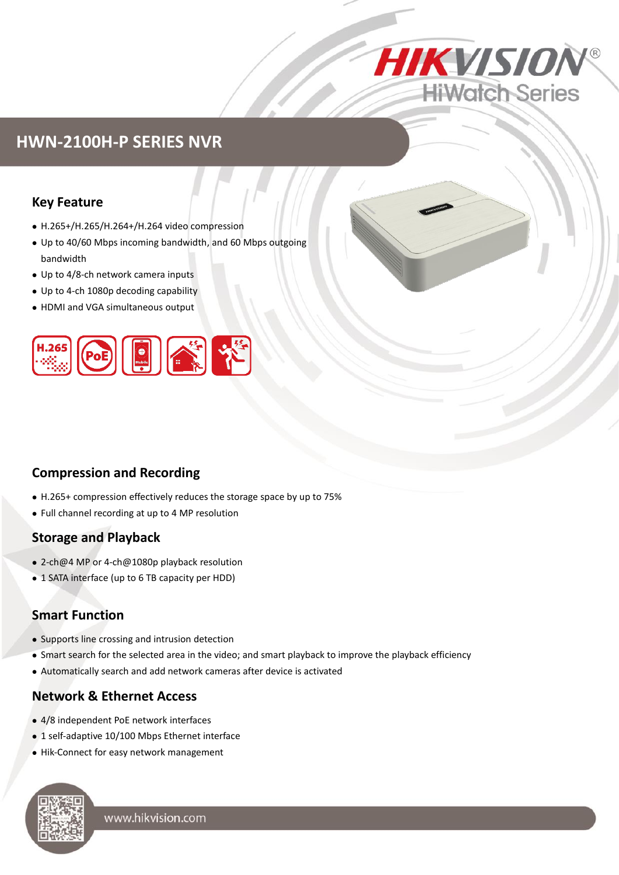

## **HWN-2100H-P SERIES NVR**

### **Key Feature**

- H.265+/H.265/H.264+/H.264 video compression
- Up to 40/60 Mbps incoming bandwidth, and 60 Mbps outgoing bandwidth
- Up to 4/8-ch network camera inputs
- Up to 4-ch 1080p decoding capability
- HDMI and VGA simultaneous output



## **Compression and Recording**

- H.265+ compression effectively reduces the storage space by up to 75%
- Full channel recording at up to 4 MP resolution

### **Storage and Playback**

- 2-ch@4 MP or 4-ch@1080p playback resolution
- 1 SATA interface (up to 6 TB capacity per HDD)

### **Smart Function**

- Supports line crossing and intrusion detection
- Smart search for the selected area in the video; and smart playback to improve the playback efficiency
- Automatically search and add network cameras after device is activated

#### **Network & Ethernet Access**

- 4/8 independent PoE network interfaces
- 1 self-adaptive 10/100 Mbps Ethernet interface
- Hik-Connect for easy network management



www.hikvision.com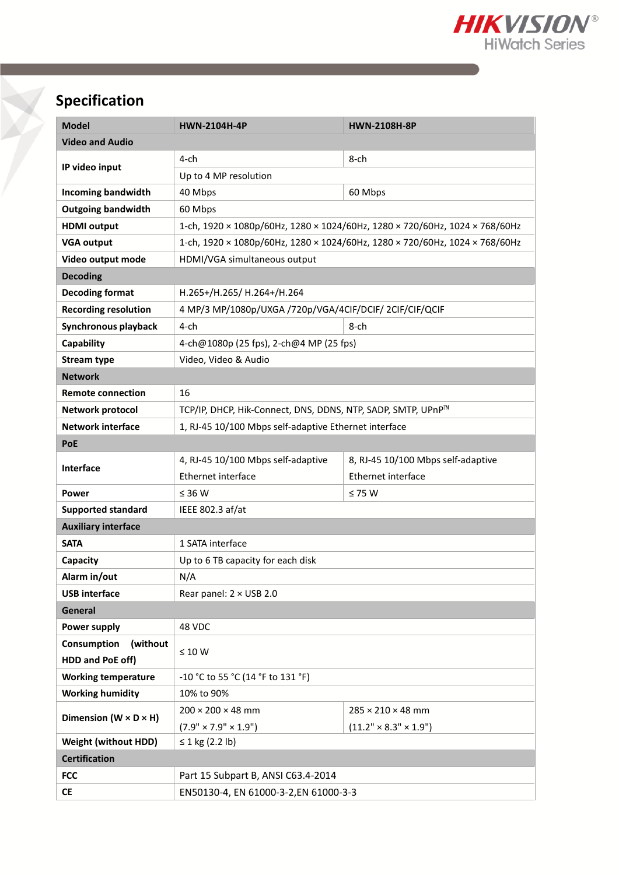

# **Specification**

| <b>Model</b>                        | <b>HWN-2104H-4P</b>                                                                                         | <b>HWN-2108H-8P</b>                |  |  |
|-------------------------------------|-------------------------------------------------------------------------------------------------------------|------------------------------------|--|--|
| <b>Video and Audio</b>              |                                                                                                             |                                    |  |  |
| IP video input                      | 4-ch                                                                                                        | $8$ -ch                            |  |  |
|                                     | Up to 4 MP resolution                                                                                       |                                    |  |  |
| <b>Incoming bandwidth</b>           | 40 Mbps                                                                                                     | 60 Mbps                            |  |  |
| <b>Outgoing bandwidth</b>           | 60 Mbps                                                                                                     |                                    |  |  |
| <b>HDMI</b> output                  | 1-ch, $1920 \times 1080p/60$ Hz, $1280 \times 1024/60$ Hz, $1280 \times 720/60$ Hz, $1024 \times 768/60$ Hz |                                    |  |  |
| <b>VGA output</b>                   | 1-ch, 1920 × 1080p/60Hz, 1280 × 1024/60Hz, 1280 × 720/60Hz, 1024 × 768/60Hz                                 |                                    |  |  |
| Video output mode                   | HDMI/VGA simultaneous output                                                                                |                                    |  |  |
| <b>Decoding</b>                     |                                                                                                             |                                    |  |  |
| <b>Decoding format</b>              | H.265+/H.265/ H.264+/H.264                                                                                  |                                    |  |  |
| <b>Recording resolution</b>         | 4 MP/3 MP/1080p/UXGA /720p/VGA/4CIF/DCIF/ 2CIF/CIF/QCIF                                                     |                                    |  |  |
| Synchronous playback                | $8$ -ch<br>4-ch                                                                                             |                                    |  |  |
| Capability                          | 4-ch@1080p (25 fps), 2-ch@4 MP (25 fps)                                                                     |                                    |  |  |
| <b>Stream type</b>                  | Video, Video & Audio                                                                                        |                                    |  |  |
| <b>Network</b>                      |                                                                                                             |                                    |  |  |
| <b>Remote connection</b>            | 16                                                                                                          |                                    |  |  |
| Network protocol                    | TCP/IP, DHCP, Hik-Connect, DNS, DDNS, NTP, SADP, SMTP, UPnP™                                                |                                    |  |  |
| <b>Network interface</b>            | 1, RJ-45 10/100 Mbps self-adaptive Ethernet interface                                                       |                                    |  |  |
| <b>PoE</b>                          |                                                                                                             |                                    |  |  |
| Interface                           | 4, RJ-45 10/100 Mbps self-adaptive                                                                          | 8, RJ-45 10/100 Mbps self-adaptive |  |  |
|                                     | Ethernet interface                                                                                          | Ethernet interface                 |  |  |
| Power                               | $\leq$ 36 W                                                                                                 | $\leq 75$ W                        |  |  |
| <b>Supported standard</b>           | IEEE 802.3 af/at                                                                                            |                                    |  |  |
| <b>Auxiliary interface</b>          |                                                                                                             |                                    |  |  |
| <b>SATA</b>                         | 1 SATA interface                                                                                            |                                    |  |  |
| Capacity                            | Up to 6 TB capacity for each disk                                                                           |                                    |  |  |
| Alarm in/out                        | N/A                                                                                                         |                                    |  |  |
| <b>USB</b> interface                | Rear panel: $2 \times$ USB 2.0                                                                              |                                    |  |  |
| General                             |                                                                                                             |                                    |  |  |
| Power supply                        | 48 VDC                                                                                                      |                                    |  |  |
| Consumption<br>(without             | $\leq 10 W$                                                                                                 |                                    |  |  |
| HDD and PoE off)                    |                                                                                                             |                                    |  |  |
| <b>Working temperature</b>          | -10 °C to 55 °C (14 °F to 131 °F)                                                                           |                                    |  |  |
| <b>Working humidity</b>             | 10% to 90%                                                                                                  |                                    |  |  |
| Dimension ( $W \times D \times H$ ) | $200 \times 200 \times 48$ mm                                                                               | $285 \times 210 \times 48$ mm      |  |  |
|                                     | $(7.9" \times 7.9" \times 1.9")$                                                                            | $(11.2" \times 8.3" \times 1.9")$  |  |  |
| <b>Weight (without HDD)</b>         | ≤ 1 kg (2.2 lb)                                                                                             |                                    |  |  |
| <b>Certification</b>                |                                                                                                             |                                    |  |  |
| <b>FCC</b>                          | Part 15 Subpart B, ANSI C63.4-2014                                                                          |                                    |  |  |
| <b>CE</b>                           | EN50130-4, EN 61000-3-2, EN 61000-3-3                                                                       |                                    |  |  |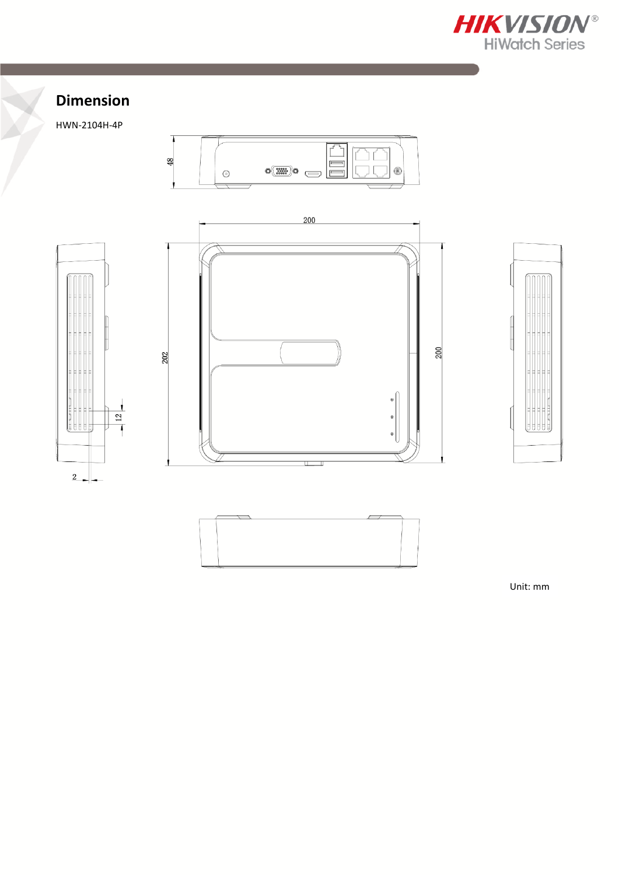

## **Dimension**

HWN-2104H-4P











Unit: mm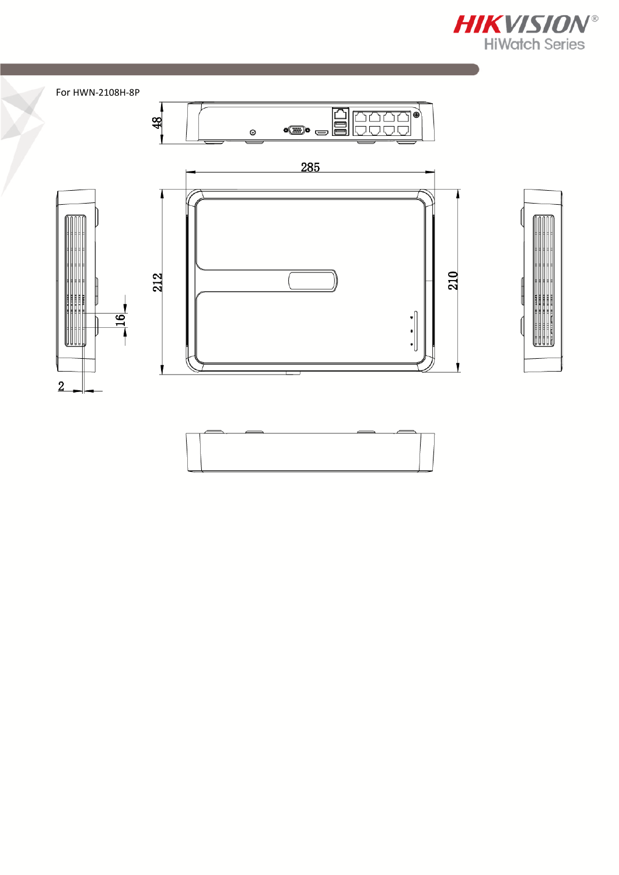